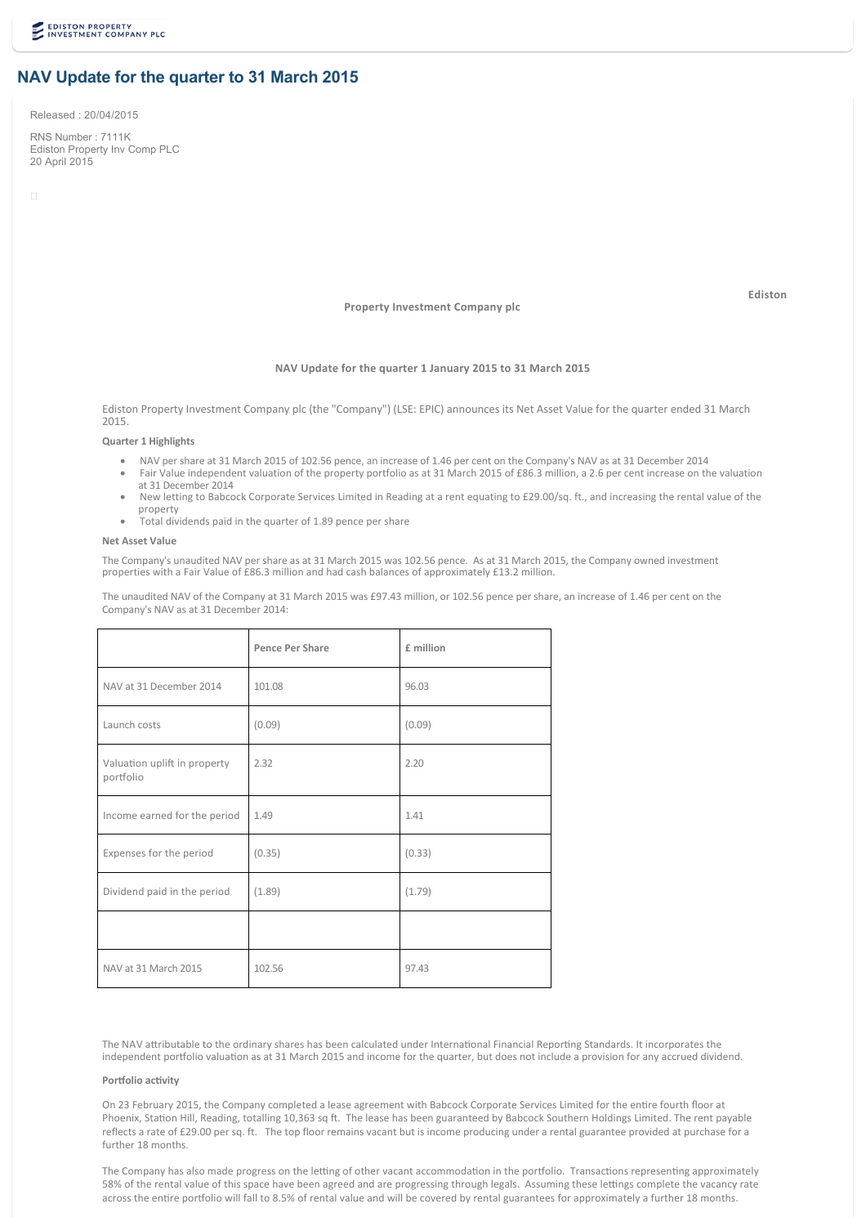# **NAV Update for the quarter to 31 March 2015**

Released : 20/04/2015

RNS Number : 7111K Ediston Property Inv Comp PLC 20 April 2015

**Property Investment Company plc**

and the contract of the contract of the contract of the contract of the contract of the contract of the contract of the contract of the contract of the contract of the contract of the contract of the contract of the contra

#### **NAV Update for the quarter 1 January 2015 to 31 March 2015**

Ediston Property Investment Company plc (the "Company") (LSE: EPIC) announces its Net Asset Value for the quarter ended 31 March 2015.

### **Quarter 1 Highlights**

- · NAV per share at 31 March 2015 of 102.56 pence, an increase of 1.46 per cent on the Company's NAV as at 31 December 2014
- Fair Value independent valuation of the property portfolio as at 31 March 2015 of £86.3 million, a 2.6 per cent increase on the valuation
- at 31 December 2014 · New letting to Babcock Corporate Services Limited in Reading at a rent equating to £29.00/sq. ft., and increasing the rental value of the property
- Total dividends paid in the quarter of 1.89 pence per share

#### **Net Asset Value**

The Company's unaudited NAV per share as at 31 March 2015 was 102.56 pence. As at 31 March 2015, the Company owned investment properties with a Fair Value of £86.3 million and had cash balances of approximately £13.2 million.

The unaudited NAV of the Company at 31 March 2015 was £97.43 million, or 102.56 pence per share, an increase of 1.46 per cent on the Company's NAV as at 31 December 2014:

|                                           | Pence Per Share | £ million |
|-------------------------------------------|-----------------|-----------|
| NAV at 31 December 2014                   | 101.08          | 96.03     |
| Launch costs                              | (0.09)          | (0.09)    |
| Valuation uplift in property<br>portfolio | 2.32            | 2.20      |
| Income earned for the period              | 1.49            | 1.41      |
| Expenses for the period                   | (0.35)          | (0.33)    |
| Dividend paid in the period               | (1.89)          | (1.79)    |
|                                           |                 |           |
| NAV at 31 March 2015                      | 102.56          | 97.43     |

The NAV attributable to the ordinary shares has been calculated under International Financial Reporting Standards. It incorporates the independent portfolio valuation as at 31 March 2015 and income for the quarter, but does not include a provision for any accrued dividend.

### **Portfolio activity**

On 23 February 2015, the Company completed a lease agreement with Babcock Corporate Services Limited for the entire fourth floor at Phoenix, Station Hill, Reading, totalling 10,363 sq ft. The lease has been guaranteed by Babcock Southern Holdings Limited. The rent payable reflects a rate of £29.00 per sq. ft. The top floor remains vacant but is income producing under a rental guarantee provided at purchase for a further 18 months.

The Company has also made progress on the letting of other vacant accommodation in the portfolio. Transactions representing approximately 58% of the rental value of this space have been agreed and are progressing through legals. Assuming these lettings complete the vacancy rate across the entire portfolio will fall to 8.5% of rental value and will be covered by rental guarantees for approximately a further 18 months.